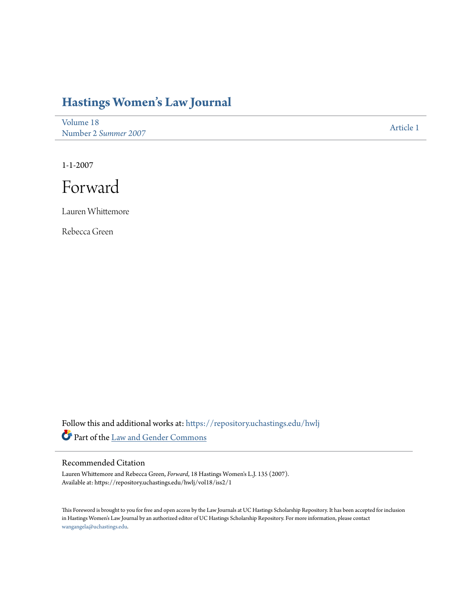## **[Hastings Women's Law Journal](https://repository.uchastings.edu/hwlj?utm_source=repository.uchastings.edu%2Fhwlj%2Fvol18%2Fiss2%2F1&utm_medium=PDF&utm_campaign=PDFCoverPages)**

[Volume 18](https://repository.uchastings.edu/hwlj/vol18?utm_source=repository.uchastings.edu%2Fhwlj%2Fvol18%2Fiss2%2F1&utm_medium=PDF&utm_campaign=PDFCoverPages) Number 2 *[Summer 2007](https://repository.uchastings.edu/hwlj/vol18/iss2?utm_source=repository.uchastings.edu%2Fhwlj%2Fvol18%2Fiss2%2F1&utm_medium=PDF&utm_campaign=PDFCoverPages)* [Article 1](https://repository.uchastings.edu/hwlj/vol18/iss2/1?utm_source=repository.uchastings.edu%2Fhwlj%2Fvol18%2Fiss2%2F1&utm_medium=PDF&utm_campaign=PDFCoverPages)

1-1-2007

Forward

Lauren Whittemore

Rebecca Green

Follow this and additional works at: [https://repository.uchastings.edu/hwlj](https://repository.uchastings.edu/hwlj?utm_source=repository.uchastings.edu%2Fhwlj%2Fvol18%2Fiss2%2F1&utm_medium=PDF&utm_campaign=PDFCoverPages) Part of the [Law and Gender Commons](http://network.bepress.com/hgg/discipline/1298?utm_source=repository.uchastings.edu%2Fhwlj%2Fvol18%2Fiss2%2F1&utm_medium=PDF&utm_campaign=PDFCoverPages)

## Recommended Citation

Lauren Whittemore and Rebecca Green, *Forward*, 18 Hastings Women's L.J. 135 (2007). Available at: https://repository.uchastings.edu/hwlj/vol18/iss2/1

This Foreword is brought to you for free and open access by the Law Journals at UC Hastings Scholarship Repository. It has been accepted for inclusion in Hastings Women's Law Journal by an authorized editor of UC Hastings Scholarship Repository. For more information, please contact [wangangela@uchastings.edu](mailto:wangangela@uchastings.edu).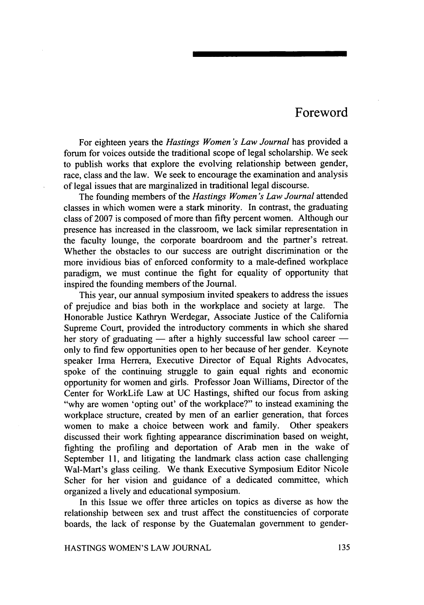## Foreword

For eighteen years the *Hastings Women's Law Journal* has provided a forum for voices outside the traditional scope of legal scholarship. We seek to publish works that explore the evolving relationship between gender, race, class and the law. We seek to encourage the examination and analysis of legal issues that are marginalized in traditional legal discourse.

The founding members of the *Hastings Women's Law Journal* attended classes in which women were a stark minority. In contrast, the graduating class of 2007 is composed of more than fifty percent women. Although our presence has increased in the classroom, we lack similar representation in the faculty lounge, the corporate boardroom and the partner's retreat. Whether the obstacles to our success are outright discrimination or the more invidious bias of enforced conformity to a male-defined workplace paradigm, we must continue the fight for equality of opportunity that inspired the founding members of the Journal.

This year, our annual symposium invited speakers to address the issues of prejudice and bias both in the workplace and society at large. The Honorable Justice Kathryn Werdegar, Associate Justice of the California Supreme Court, provided the introductory comments in which she shared her story of graduating  $-$  after a highly successful law school career  $$ only to find few opportunities open to her because of her gender. Keynote speaker Irma Herrera, Executive Director of Equal Rights Advocates, spoke of the continuing struggle to gain equal rights and economic opportunity for women and girls. Professor Joan Williams, Director of the Center for WorkLife Law at UC Hastings, shifted our focus from asking "why are women 'opting out' of the workplace?" to instead examining the workplace structure, created by men of an earlier generation, that forces women to make a choice between work and family. Other speakers discussed their work fighting appearance discrimination based on weight, fighting the profiling and deportation of Arab men in the wake of September 11, and litigating the landmark class action case challenging Wal-Mart's glass ceiling. We thank Executive Symposium Editor Nicole Scher for her vision and guidance of a dedicated committee, which organized a lively and educational symposium.

In this Issue we offer three articles on topics as diverse as how the relationship between sex and trust affect the constituencies of corporate boards, the lack of response by the Guatemalan government to gender-

HASTINGS WOMEN'S LAW JOURNAL